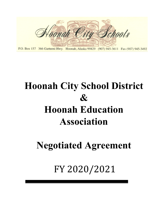

P.O. Box 157 366 Garteeni Hwy. Hoonah, Alaska 99829 (907) 945-3611 Fax (907) 945-3492

# **Hoonah City School District & Hoonah Education Association**

**Negotiated Agreement**

FY 2020/2021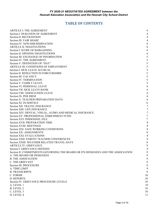# **TABLE OF CONTENTS**

| ARTICLE I: THE AGREEMENT                                                         | 4              |
|----------------------------------------------------------------------------------|----------------|
| Section I: DURATION OF AGREEMENT                                                 | 4              |
| Section II: RECOGNITION                                                          | 4              |
| Section III: FAIR SHARE                                                          | 4              |
| Section IV: NON-DISCRIMINATION                                                   | 4              |
| <b>ARTICLE II: NEGOTIATIONS</b>                                                  | 4              |
| Section I: SCOPE OF BARGAINING                                                   | 4              |
| Section II: OPENING NEGOTIATIONS                                                 | 4              |
| Section III: EXCHANGE OF INFORMATION                                             | 5              |
| Section IV: THE AGREEMENT                                                        | 5              |
| Section V: DEFINITION OF "DAY"                                                   | 5              |
| ARTICLE III: CONDITIONS OF EMPLOYMENT                                            | 5              |
| Section I: SICK LEAVE ACCRUAL                                                    | 5              |
| Section II: REDUCTION IN FORCE/REHIRE                                            | 5              |
| Section III: VACANCY                                                             | 5              |
| Section IV: TERMINATION                                                          | 5              |
| Section V: FAMILY LEAVE                                                          | 5              |
| Section VI: PERSONAL LEAVE                                                       | 6              |
| Section VII: SICK LEAVE BANK                                                     | 6              |
| Section VIII: ASSOCIATION LEAVE                                                  | 6              |
| Section IX: PER DIEM                                                             | 6              |
| Section X: TEACHER PREPARATION DAYS                                              | 6              |
| Section XI: IN-SERVICE                                                           | 6              |
| Section XII: TRAVEL INSURANCE                                                    | $\overline{7}$ |
| Section XIII: LIFE INSURANCE                                                     | $\overline{7}$ |
| Section XIV: DENTAL, VISUAL, AUDIO AND MEDICAL INSURANCE                         | 7              |
| Section XV: PROFESSIONAL ENRICHMENT FUND                                         | 7              |
| Section XVI: PERSONNEL FILE                                                      | 7              |
| Section XVII: PREPARATION TIME                                                   | 8              |
| Section XVIII: MEETINGS                                                          | 8              |
| Section XIX: SAFE WORKING CONDITIONS                                             | 8              |
| Section XX: ASSIGNMENTS                                                          | 8              |
| Section XXI: EVALUATIONS                                                         | 8              |
| Section XXII: PARENT TEACHER CONFERENCES                                         | 8              |
| Section XXIII: WEATHER RELATED TRAVEL DAYS                                       | 8              |
| <b>ARTICLE IV: GRIEVANCE</b>                                                     | 9              |
| Section I: GRIEVANCE DEFINED                                                     | 9              |
| Section II: COMMITMENTS GOVERNING THE BOARD OR ITS DESIGNEES AND THE ASSOCIATION | 9              |
| A. THE BOARD OR DESIGNEES                                                        | 9              |
| <b>B. THE ASSOCIATION</b>                                                        | 9              |
| <b>C. THE GRIEVANT</b>                                                           | 9              |
| Section III: PROCEDURE                                                           | 9              |
| A. TIME LIMIT                                                                    | 9              |
| <b>B. TRANSCRIPTS</b>                                                            | 9              |
| C. FORMS                                                                         | 10             |
| D. REPORTS                                                                       | 10             |
| Section IV: GRIEVANCE PROCEDURE LEVELS                                           | 10             |
| A. LEVEL 1                                                                       | 10             |
| <b>B.</b> LEVEL 2                                                                | 10             |
| C. LEVEL 3                                                                       | 10             |
| D. LEVEL 4                                                                       | 11             |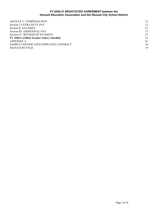<span id="page-2-0"></span>

| <b>ARTICLE V: COMPENSATION</b>            | 12 |
|-------------------------------------------|----|
| Section I: EXTRA DUTY PAY                 | 12 |
| Section II: SALARIES                      | 12 |
| Section III: ADDITIONAL PAY               | 13 |
| Section IV: METHOD OF PAYMENT             | 13 |
| FY 2020 Certified Teacher Salary Schedule | 14 |
| APPENDIX A                                | 16 |
| SAMPLE CERTIFICATED EMPLOYEE CONTRACT     | 16 |
| <b>SIGNATURE PAGE</b>                     | 19 |
|                                           |    |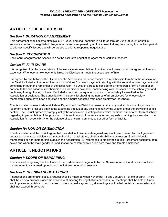# **ARTICLE I: THE AGREEMENT**

## *Section I: DURATION OF AGREEMENT*

This agreement shall become effective July 1, 2020 and shall continue in full force through June 30, 2021 or until a successor contract is negotiated. Negotiations can be reopened by mutual consent at any time during the contract period to address specific issues that will be agreed to prior to reopening negotiations.

#### *Section II: RECOGNITION*

The Board recognizes the Association as the exclusive negotiating agent for all certified teachers.

#### *Section III: FAIR SHARE*

It is recognized that the responsibility of the exclusive representation of certified employees under this agreement entails expenses. Whenever a new teacher is hired, the District shall notify the association of hire.

It is agreed by and between the District and the Association that upon receipt of a membership form from the Association, the District will deduct the determined amount of dues from each paycheck, starting with the second regular paycheck and continuing through the remainder of the fiscal year. The District agrees to consider the membership form an affirmation consent to the dedication of membership dues for his/her paycheck, commencing with the second of the school year and continuing through the school year. Such deductions will be equal amounts and immediately transmitted to the Association or designee. The transmittal will include a list showing the names of all employees for whose salary membership dues have been deducted and the amount deducted from each employees' paycheck.

The Association agrees to defend, indemnify, and hold the District harmless against any and all claims, suits, orders or judgment brought or issued against the District as a result of any actions taken by the District under the provisions of this section. The District agrees to promptly notify the Association in writing of any claim, demand, suit or other form of liability regarding implementation of the provision of this section and, if the Association so requests in writing, to surrender to the Association full responsibility for the defense of such claim, demand, suit or other form of liability.

## *Section IV: NON-DISCRIMINATION*

The Association and the district agree that they shall not discriminate against any employee covered by this Agreement because of age, race, religion, sex, national origin, marital status, physical disability or by reason of an individual's membership or non-membership status in the Association. All references to employees in this Agreement designate both sexes and when the male gender is used, it shall be construed to include both male and female employees.

# **ARTICLE II: NEGOTIATIONS**

#### *Section I: SCOPE OF BARGAINING*

The scope of bargaining shall be limited to items determined negotiable by the Alaska Supreme Court or as established by law, or mutually agreed upon during the first two negotiation sessions.

#### *Section II: OPENING NEGOTIATIONS*

If negotiations are to take place, a request shall be made between November 15 and January 31 by either party. There shall be no new proposals after the second joint meeting for negotiations purposes. All meetings shall be held at times and in places acceptable to both parties. Unless mutually agreed to, all meetings shall be held outside the workday and shall not exceed three hours.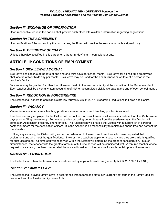## <span id="page-4-0"></span>*Section III: EXCHANGE OF INFORMATION*

Upon reasonable request, the parties shall provide each other with available information regarding negotiations.

## *Section IV: THE AGREEMENT*

Upon ratification of the contract by the two parties, the Board will provide the Association with a signed copy.

#### *Section V: DEFINITION OF "DAY"*

Unless otherwise specified in this agreement, the term "day" shall mean calendar day.

# **ARTICLE III: CONDITIONS OF EMPLOYMENT**

## *Section I: SICK LEAVE ACCRUAL*

Sick leave shall accrue at the rate of one and one-third days per school month. Sick leave for all half-time employees shall accrue at two-thirds day per month. Sick leave may be used for the death, illness or welfare of a person in the teacher's family.

<span id="page-4-1"></span>Sick leave may be granted for other than illness or death in the teacher's family at the discretion of the Superintendent. Each teacher shall be given a written accounting of his/her accumulated sick leave days at the end of each school month.

#### *Section II: REDUCTION IN FORCE/REHIRE*

The District shall adhere to applicable state law (currently AS 14.20.177) regarding Reductions in Force and Rehire.

## *Section III: VACANCY*

Vacancies occur when a new teaching position is created or a current teaching position is vacated.

Teachers currently employed by the District will be notified via District email of all vacancies no less than five (5) business days prior to filling the vacancy. For any vacancies occurring during breaks from the academic year, the District will contact an Association officer by phone or text. The Association will provide the District with a current list of personal contact numbers for the Association officers. It is the Association's responsibility to maintain a phone tree and contact the membership.

<span id="page-4-2"></span>In filling any vacancy, the District will give first consideration to those current teachers who have requested that assignment and who meet the qualifications. If two or more teachers apply for a vacancy and they are similarly qualified for such assignment, full-time equivalent service within the District will determine the order of consideration. In such circumstances, the teacher with the greatest amount of full-time service will be considered first. A tenured teacher whose request to a vacancy has been denied shall be advised in writing of the reasons for such denial upon written request.

#### *Section IV: TERMINATION*

The District shall follow the termination procedures set by applicable state law (currently AS 14.20.170; 14.20.180).

## <span id="page-4-3"></span>*Section V: FAMILY LEAVE*

The District shall provide family leave in accordance with federal and state law (currently set forth in the Family Medical Leave Act and the Alaska Family Leave Act).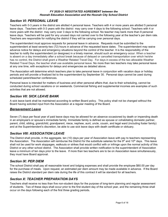## *Section VI: PERSONAL LEAVE*

Teachers with 0-3 years in the district are allotted 4 personal leave. Teachers with 4 or more years are allotted 5 personal leave days. Teachers with 0-3 years with the district may carry over 4 days to the following school. Teachers with 4 or more years with the district may carry over 3 days to the following school. No teacher may bank more than 8 personal leave days. Teachers will be paid for any unused days not carried over to the following year at the teacher's per diem rate. Teachers are responsible for notifying the district if they will be carrying over personal days.

The superintendent must approve requests for personal leave in advance. Requests must be submitted to the superintendent at least seventy-two (72) hours in advance of the requested leave dates. The superintendent may waive advance notice for delays and emergency situations beyond the control of the teacher. It is the responsibility of the teacher to notify the superintendent (or designee) in a timely manner, should such an emergency occur. When a teacher is absent on a day immediately after a school break because of delayed or cancelled transportation over which he/she has no control, the District shall grant a Weather Related Travel Day. For days in excess of the two allowable Weather Related Travel Days, the teacher shall use available personal leave. No more than two teachers may take personal leave at any one time, with exceptions for delays and emergencies as detailed above.

The Association will determine which teachers plan to take personal leave in conjunction with vacation days or holiday periods and will provide a finalized list to the superintendent by September 30. Personal days cannot be used during scheduled parent/teacher conferences.

Personal leave is intended for matters of business and other personal affairs that, due to their scheduling, cannot be conducted during school vacations or on weekends. Commercial fishing and supplemental incomes are examples of such activities that are not allowed.

#### *Section VII: SICK LEAVE BANK*

A sick leave bank shall be maintained according to written Board policy. This policy shall not be changed without the Board having solicited input from the Association at a regular meeting of the Board.

#### *Bereavement Leave*

Seven (7) days per fiscal year of paid leave days may be allowed for an absence occasioned by death or impending death in an employee's or spouse's immediate family. Immediate family is defined as spouse or cohabitating domestic partner, parent, child, sibling, grandchild, grandparent, niece, nephew, aunt, uncle, cousin, and legal ward (including foster family) and at the Superintendent's discretion, be able to use sick leave days with death certificate or obituary.

#### *Section VIII: ASSOCIATION LEAVE*

The District shall provide, in the aggregate, ten (10) days per year of Association leave with pay to teachers representing the Association. The Association will reimburse the District for the substitute salaries for the 9<sup>th</sup> and 10<sup>th</sup> days. This leave shall not be used for work stoppages, walkouts or strikes that would conflict with or infringe upon the normal activity of this District or any other school district. The Association shall provide written notification to the superintendent of Association leave a minimum of ten days prior to the leave. If more than two teachers are to be on Association leave simultaneously, they must have Board approval.

#### *Section IX: PER DIEM*

The school District shall pay all reasonable travel and lodging expenses and shall provide the employee \$60.00 per day for the purchase of meals. Upon request, an estimated per diem amount may be made available in advance. If the Board raises the District standard per diem rate during the life of this contract it will be standard for all teachers.

#### <span id="page-5-0"></span>*Section X: TEACHER PREPARATION DAYS*

<span id="page-5-1"></span>Teachers shall receive no less than five non-student days for the purpose of long-term planning and regular assessment of students. Two of these days shall occur prior to the first student day of the school year, and the remaining three shall occur on the days following each of the first three grading periods**.**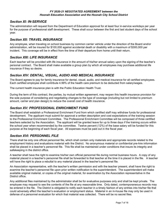#### *Section XI: IN-SERVICE*

The administration will request from the Department of Education approval for at least four in-service workdays per year for the purpose of professional staff development. These shall occur between the first and last student days of the school year.

#### *Section XII: TRAVEL INSURANCE*

Any employee, when traveling on school business by common carrier vehicle under the direction of the Board and/or administration, will be insured for \$100,000 against accidental death or disability with a maximum of \$300,000 per incident. This coverage will be in effect from the time of their departure from home until their return.

#### *Section XIII: LIFE INSURANCE*

Each teacher will be provided with life insurance in the amount of his/her annual salary upon the signing of the teacher's personal contract. The Board shall make available a group plan by which all employees may purchase additional life insurance if they so desire.

## *Section XIV: DENTAL, VISUAL, AUDIO AND MEDICAL INSURANCE*

The Board agrees to pay for family insurance for dental, visual, audio, and medical insurance for all certified employees. Each certified employee shall contribute 4.99% of the health care premium to be deducted from salary/wages.

The current health insurance plan is with the Public Education Health Trust.

During the term of this contract, the parties, by mutual written agreement, may reopen this health insurance provision for the sole purpose of considering and negotiating changes to the type of coverage (including but not limited to premium amount, carrier and plan design) to reduce the overall cost of health insurance.

#### *Section XV: PROFESSIONAL ENRICHMENT FUND*

The Board shall establish a Professional Enrichment Fund from which certified staff may withdraw funds for professional development. The applicant must submit for approval a written description and cost expectations of the training session to the Professional Enrichment Committee. The Professional Enrichment Committee will be composed of three certified teachers selected by the Association. The applicant will be granted leave for up to three days if the training occurs within the school year when recommended by the committee. Twelve percent (12%) of the base salary will be funded for this purpose at the beginning of each fiscal year. All expenses must be paid out in the fiscal year.

#### *Section XVI: PERSONNEL FILE*

There shall be only one official personnel file, which shall contain only materials and appropriate records related to the employment history and evaluations material with the District. No anonymous material or confidential pre-hire information shall be placed in a teacher's personnel file. This file shall be maintained under conditions that insure its integrity and safekeeping in the district office.

A teacher shall have the right to examine his/her own official personnel file during normal business hours. A copy of any material placed in a teacher's personnel file shall be forwarded to that teacher at the time it is placed in the file. A teacher will have the right to place a rebuttal to any material placed in the teacher's personnel file.

An Association representative, with the teacher's written permission and with the teacher present, shall have the right to examine the teacher's personnel file upon prior written notification to the superintendent. The superintendent will make available original material, or copies of the original material, for examination by the Association representative in the District office.

Any additional files maintained by the administrator shall be for evaluative purposes only and shall be kept private. The employee may request to see the contents of the file at any reasonable time. Only dated, contemporaneous records may be entered in the file. The District is obligated to notify each teacher in a timely fashion of any entries into his/her file that could adversely affect the teacher's evaluation or employment status. Material in an in-house file may only be used in defense of a personnel evaluation for which that material was collected. There will be no secret files.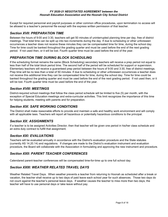Except for required personnel and payroll purposes or other common office procedures, upon termination no access will be allowed to a teacher's personnel file except with the express written permission of that teacher.

## <span id="page-7-0"></span>*Section XVII: PREPARATION TIME*

Between the hours of 9:00 and 3:30, teachers will get 50 minutes of uninterrupted planning time per day, free of district meetings. That total time can be split up into two increments during the day. If due to scheduling or other unforeseen occurrences a teacher does not receive these minutes they can be compensated time for time, during the school day. Time for time could be banked throughout the grading quarter and must be used before the end of the next grading period. If not used then, or it will be lost. Fourth quarter time must be used before the end of the year.

## *PREPARATION TIME DURING BLOCK SCHEDULING*

If the scheduling format remains the same (Block Scheduling) secondary teachers will receive a prep period not equal to less than half of the total block period time. The second half of the period will be scheduled for support or supervision. Elementary teachers will receive a guaranteed prep period between the hours of 9:00 and 3:30, free of district meetings. Prep time will be no less than a total of 50 minutes. If due to scheduling or other unforeseen occurrences a teacher does not receive this additional time they can be compensated time for time, during the school day. Time for time could be banked throughout the grading quarter and must be used before the end of the next grading period. If not used then, or it will be lost. Fourth quarter time must be used before the end of the year.

## *Section XVIII: MEETINGS*

District-required school meetings that follow the class period schedule will be limited to five (5) per month, with the exception of Special Education meetings and extra-curricular activities. This limit recognizes the importance of this time for helping students, meeting with parents and for preparation.

## *Section XIX: SAFE WORKING CONDITIONS*

The District shall make reasonable efforts to provide and maintain a safe and healthy work environment and will comply with all applicable laws. Teachers will report all hazardous or potentially hazardous conditions to the principal.

## *Section XX: ASSIGNMENTS*

<span id="page-7-1"></span>If a teacher is to be assigned Activities Director, then that teacher will be given one period in his/her class schedule and an extra duty contract to fulfill that assignment.

#### *Section XXI: EVALUATIONS*

<span id="page-7-2"></span>Teachers will be evaluated annually in accordance with the District's evaluation procedure and the State statutes (currently AS 14.20.14) and regulations. If changes are made to the District's evaluation instrument and evaluation procedure, the Board will collaborate with the Association in formulating and approving the new instrument and procedure.

## *Section XXII: PARENT TEACHER CONFERENCES*

Calendared parent-teacher conferences will be compensated time-for-time up to one full school day.

## *Section XXIII: WEATHER RELATED TRAVEL DAYS*

Weather Related Travel Days. When weather prevents a teacher from returning to Hoonah as scheduled after a break or vacation, the teacher shall receive up to two days of paid leave each school year for such absences. Those two days do not count against the teacher's personal leave days. If weather causes the teacher to miss more than two days, the teacher will have to use personal days or take leave without pay.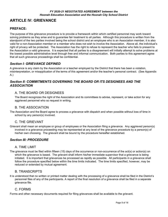# **ARTICLE IV: GRIEVANCE**

## **PREFACE:**

The purpose of this grievance procedure is to provide a framework within which certified personnel may work toward solving problems as they arise and to guarantee fair treatment to all parties. Although this procedure is written from the standpoint of the two parties involved being the school district and an employee who is an Association member, it is also valid for a non-Association member or a member who does not wish to involve the Association. Above all, the individual's right of privacy will be protected. The Association has the right to refuse to represent the teacher who fails to present to the Association a valid grievance. It is expected that all parties to a disagreement will initially attempt to solve problems at the lowest possible administrative level through free and informal communication. Both parties to this agreement agree that all such grievance proceedings shall be confidential.

## *Section I: GRIEVANCE DEFINED*

A grievance is any claim by the Association or a teacher employed by the District that there has been a violation, misinterpretation, or misapplication of the terms of this agreement and/or the teacher's personal contract. (See Appendix A.)

## *Section II: COMMITMENTS GOVERNING THE BOARD OR ITS DESIGNEES AND THE ASSOCIATION*

## A. THE BOARD OR DESIGNEES

The Board recognizes the right of the Association and its committees to advise, represent, or take action for any aggrieved personnel who so request in writing.

#### B. THE ASSOCIATION

The Association and the Board agree to process a grievance with dispatch and when possible without loss of time in school by any person(s) involved.

#### C. THE GRIEVANT

Grievant shall mean an employee or group of employees or the Association filing a grievance. Any aggrieved person(s) involved in a grievance proceeding may be represented at any level of the grievance procedure by a person(s) of his/her own choosing. The grievant shall be bound by the procedure hereafter established.

## *Section III: PROCEDURE*

#### A. TIME LIMIT

The grievance must be filed within fifteen (15) days of the occurrence or non-occurrence of the act(s) or action(s) on which the grievance is based. The grievant shall inform his/her immediate supervisor that a grievance is being initiated. It is important that grievances be processed as rapidly as possible. All participants in a grievance shall follow the procedure specified below within the time limits indicated. The time limits specified, however, may be reduced or extended by mutual agreement.

#### B. TRANSCRIPTS

It is understood that no written or printed matter dealing with the processing of a grievance shall be filed in the District's personnel files of any of the participants. A report of the final resolution of a grievance shall be filed in a separate grievance file.

#### C. FORMS

Forms and other necessary documents required for filing grievances shall be available to the grievant.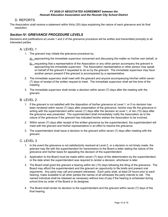## D. REPORTS

The Association shall receive a statement within thirty (30) days explaining the nature of each grievance and its final resolution.

## *Section IV: GRIEVANCE PROCEDURE LEVELS*

Decisions and justifications at Levels 1 and 2 of the grievance procedure will be written and transmitted promptly to all interested parties.

#### A. LEVEL 1

- 1. The grievant may initiate the grievance procedure by:
	- a) approaching the immediate supervisor concerned and discussing the matter on his/her own behalf, or
	- b) requesting that a representative of the Association or any other person accompany the grievant in approaching the immediate supervisor. The Association representative or other person may speak on behalf of the grievant if requested to do so by the grievant. The immediate supervisor may have another person present if the grievant is accompanied by a representative.
- 2. The immediate supervisor shall meet with the grievant and anyone accompanying him/her within seven (7) days of receipt of the written request to meet. The immediate supervisor shall set the time of the meeting.
- 3. The immediate supervisor shall render a decision within seven (7) days after the meeting with the grievant.

## B. LEVEL 2

- 1. If the grievant is not satisfied with the disposition of his/her grievance at Level 1, or if no decision has been rendered within seven (7) days after presentation of the grievance, he/she may file the grievance in writing with the superintendent within seven (7) days after the decision at Level 1, or ten (10) days after the grievance was presented. The superintendent shall immediately notify the Association as to the nature of the grievance if the grievant has indicated he/she wishes the Association to be involved.
- 2. Within seven (7) days after receipt of the written grievance by the superintendent, the superintendent will meet with the grievant and his/her representative in an effort to resolve the grievance.
- 3. The superintendent shall issue a decision to the grievant within seven (7) days after meeting with the grievant.

#### <span id="page-9-0"></span>C. LEVEL 3

- 1. In the event the grievance is not satisfactorily resolved at Level 2, or a decision is not timely made, the grievant may file with the superintendent for transmission to the Board a letter stating the nature of the grievance and his/her basis for appealing the decision of the superintendent.
- 2. Application to the Board must be made within seven (7) days of the determination by the superintendent, or the date when the superintendent was required to render a decision, whichever is later.
- 3. The Board shall grant the grievant a hearing within ten (10) days following the filing of the grievance. The Board may afford the superintendent and the grievant an opportunity to file briefs and present oral arguments. Any party may call and present witnesses. Each party shall, at least 24 hours prior to each hearing, make available to all other parties the names of all witnesses the party intends to call. The named individual shall be released as necessary without loss of pay if the hearing is scheduled during school time by order of the Board or its designee.
- 4. The Board shall render its decision to the superintendent and the grievant within seven (7) days of the final hearing.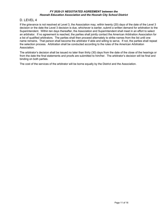## D. LEVEL 4

If the grievance is not resolved at Level 3, the Association may, within twenty (20) days of the date of the Level 3 decision or the date the Level 3 decision is due, whichever is earlier, submit a written demand for arbitration to the Superintendent. Within ten days thereafter, the Association and Superintendent shall meet in an effort to select an arbitrator. If no agreement is reached, the parties shall jointly contact the American Arbitration Association for a list of qualified arbitrators. The parties shall then proceed alternately to strike names from the list until one name remains. That person shall become the arbitrator if able and willing to serve. If not, the parties shall repeat the selection process. Arbitration shall be conducted according to the rules of the American Arbitration Association.

The arbitrator's decision shall be issued no later than thirty (30) days from the date of the close of the hearings or from the date the final statements and proofs are submitted to him/her. The arbitrator's decision will be final and binding on both parties.

The cost of the services of the arbitrator will be borne equally by the District and the Association.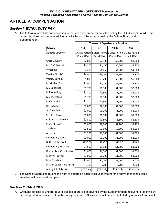# **ARTICLE V: COMPENSATION**

## *Section I: EXTRA DUTY PAY*

A. The following table lists compensation for current extra curricular activities set by the HCS School Board. This current list does not preclude additional activities or clubs as approved by the School Board and/or Superintendent.

|                                  | <b>HCS Years of Experience in Position</b>                                  |              |              |              |
|----------------------------------|-----------------------------------------------------------------------------|--------------|--------------|--------------|
| <b>Activity</b>                  | $1 - 4$                                                                     | $5-9$        | $10 - 14$    | $15+$        |
| <b>Athletic Director</b>         | 1 Class Period 1 Class Period 1 Class Period 1 Class Period<br>+\$5,500/yr. | +\$5,700/yr. | +\$5,900/yr. | +\$6,000/yr. |
| <b>Cross Country</b>             | \$2,000                                                                     | \$2,300      | \$2,600      | \$3,000      |
| Mix 6 Volleyball                 | \$4,200                                                                     | \$4,450      | \$4,600      | \$4,800      |
| Wrestling                        | \$4,200                                                                     | \$4,450      | \$4,600      | \$4,800      |
| Varsity Girls BB                 | \$5,000                                                                     | \$5,200      | \$5,600      | \$5,800      |
| Varsity Boys BB                  | \$5,000                                                                     | \$5,200      | \$5,600      | \$5,800      |
| Music/Pep Band                   | \$2,000                                                                     | \$2,250      | \$2,500      | \$2,800      |
| <b>MS Volleyball</b>             | \$1,700                                                                     | \$1,800      | \$1,900      | \$2,000      |
| <b>MS Wrestling</b>              | \$1,700                                                                     | \$1,800      | \$1,900      | \$2,000      |
| <b>MS Basketball</b>             | \$1,700                                                                     | \$1,800      | \$1,900      | \$2,000      |
| <b>MS Robotics</b>               | \$1,700                                                                     | \$1,800      | \$1,900      | \$2,000      |
| <b>HS Robotics</b>               | \$2,000                                                                     | \$2,300      | \$2,600      | \$3,000      |
| Jr. Class Advisor                | \$1,000                                                                     | \$1,000      | \$1,000      | \$1,000      |
| Sr. Class Advisor                | \$1,000                                                                     | \$1,000      | \$1,000      | \$1,000      |
| Cultural Leadership              | \$1,800                                                                     | \$1,800      | \$1,800      | \$1,800      |
| Student Gov't.                   | \$2,000                                                                     | \$2,200      | \$2,200      | \$2,200      |
| Yearbook                         | \$2,500                                                                     | \$2,500      | \$2,500      | \$2,500      |
| Archery                          | \$1,300                                                                     | \$1,300      | \$1,300      | \$1,300      |
| <b>Elementary Sports</b>         | \$1,000                                                                     | \$1,000      | \$1,000      | \$1,000      |
| <b>Battle of the Books</b>       | \$750.00                                                                    | \$750.0      | \$750.0      | \$750.0      |
| <b>Elementary Robotics</b>       | \$1,500                                                                     | \$1,500      | \$1,500      | \$1,500      |
| <b>District Test Coordinator</b> | \$1,000                                                                     | \$1,000      | \$1,000      | \$1,000      |
| Mentor Teacher                   | \$1,000                                                                     | \$1,000      | \$1,000      | \$1,000      |
| Lead Teacher                     | \$2,000                                                                     | \$2,000      | \$2,000      | \$2,000      |
| District Leadership TEam         | \$700                                                                       | \$700        | \$700        | \$700        |
| <b>Acting Administrator</b>      | \$75 Daily                                                                  | \$75 Daily   | \$75 Daily   | \$75 Daily   |

B. The School Board also retains the right to determine each fiscal year whether the above-mentioned listed activities will be offered that year.

#### *Section II: SALARIES*

A. Graduate classes or undergraduate classes approved in advance by the Superintendent, relevant to teaching will be accepted for advancement on the salary schedule. All classes must be substantiated by an official transcript.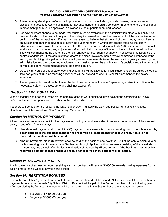- B. A teacher may develop a professional improvement plan which includes graduate classes, undergraduate classes, and vocational/technical training for advancement on the salary schedule. Elements of the professional improvement plan must be approved in advance by the superintendent and teacher.
- C. For advancement change to be made, transcripts must be available in the administration office within sixty (60) days of the start of the new school year. The salary increase due to such advancement will be retroactive to the beginning of the contract year. If a teacher has reason to believe that at the end of the sixty**-**day period there is an outstanding transcript, he/she may notify the superintendent in writing that credits affecting the salary advancement may arrive. In such cases as this the teacher has an additional thirty (30) days in which to submit said transcripts. However, any adjustments after the initial sixty days of the school year will not be retroactive. They will commence at the end of the then current pay period. Such a change will necessitate the issuance of a contract addendum. If the administration deems the class irrelevant**,** then a review committee composed of the employee's building principal, a certified employee and a representative of the Association, jointly chosen by the administration and the concerned employee, shall meet to review the administration's decision and either accept it or make additional recommendations to the administration.
- D. Up to six (6) years of out-of-state teaching experience will be allowed for initial placement on the salary schedule. Two half-years of full-time teaching experience will be allowed as one full year for placement on the salary schedule.
- E. The employees frozen at the bottom of the last three columns will receive  $\frac{1}{2}$  percentage raise, in addition to the negotiated salary increases, up to and shall not exceed 3%.

## *Section III: ADDITIONAL PAY*

When a teacher has been requested by the administration to work additional days beyond the contracted 190 days, he/she will receive compensation at his/her contracted per diem rate.

Teachers will be paid for the following holidays: Labor Day, Thanksgiving Day, Day Following Thanksgiving Day, Christmas Eve, Christmas Day, New Year's Day, Memorial Day

## *Section IV: METHOD OF PAYMENT*

All teachers shall receive a check for the days worked in August and may select to receive the remainder of their annual salary in one of the following ways:

- A. Nine (9) equal payments with the ninth (9<sup>th</sup>) payment due a week after the last working day of the school year, by **direct deposit, if the business manager has received a signed teacher checkout sheet. If this is not received then a check will be issued.**
- B. Nine (9) payments, eight (8) of which shall be paid on the basis of one-twelfth (1/12<sup>th</sup>) of the annual salary due on the last working day of the months of September through April and a final payment consisting of the remainder of the contract, due a week after the last working day of the year **by direct deposit, if the business manager has received a signed teacher checkout sheet. If not received then a check will be issued.**

## *Section V: MOVING EXPENSES*

Any incoming certified teacher, upon receiving a signed contract, will receive \$1000.00 towards moving expenses."to be paid no more than 1 week of arrival in the district.

## *Section VI: RETENTION BONUSES*

For each year of this Agreement an annual attract and retain stipend will be issued. All the time calculated for the bonus payment is time in the Hoonah City School District. Payment will be paid in the September check of the following year. After completing the first year, the teacher will be paid their bonus in the September of the next year and so on.

- $\bullet$  1-3 years- \$750.00 per year
- $\bullet$  4+ years- \$1000.00 per year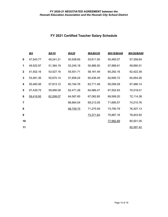# **FY 2021 Certified Teacher Salary Schedule**

|                | $\underline{BA}$ | <b>BA10</b> | <b>BA20</b> | <b>MA/BA30</b> | <b>MA18/BA48</b> | <b>MA36/BA66</b> |
|----------------|------------------|-------------|-------------|----------------|------------------|------------------|
| 0              | 47,543.77        | 49,241.21   | 50,938.65   | 53,611.50      | 55,485.07        | 57,358.64        |
| 1              | 49,522.97        | 51,384.19   | 53,245.18   | 55,886.50      | 57,888.61        | 59,890.51        |
| $\mathbf{2}$   | 51,502.16        | 53,527.16   | 55,551.71   | 58,161.49      | 60,292.16        | 62,422.39        |
| 3              | 53,481.36        | 55,670.14   | 57,858.24   | 60,436.49      | 62,695.72        | 64,954.26        |
| 4              | 55,460.56        | 57,813.12   | 60,164.76   | 62,711.48      | 65,099.28        | 67,486.14        |
| 5              | 57,439.75        | 59,956.09   | 62,471.28   | 64,986.47      | 67,502.83        | 70,018.01        |
| 6              | 59,418.95        | 62,099.07   | 64,567.65   | 67,082.85      | 69,599.20        | 72,114.38        |
| $\overline{7}$ |                  |             | 66,664.04   | 69,213.05      | 71,695.57        | 74,210.76        |
| 8              |                  |             | 68,759.75   | 71,275.59      | 73,790.79        | 76,307.13        |
| 9              |                  |             |             | 73,371.64      | 75,887.16        | 78,403.50        |
| 10             |                  |             |             |                | 77,982.89        | 80,501.05        |
| 11             |                  |             |             |                |                  | 82,597.42        |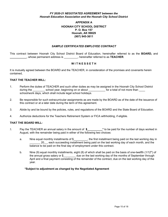#### **APPENDIX A HOONAH CITY SCHOOL DISTRICT P. O. Box 157 Hoonah, AK 99829 (907) 945-3611**

#### *SAMPLE CERTIFICATED EMPLOYEE CONTRACT*

This contract between Hoonah City School District Board of Education, hereinafter referred to as the **BOARD,** and **\_\_\_\_\_\_\_\_\_\_\_**, whose permanent address is \_\_\_\_\_\_\_\_\_, hereinafter referred to as **TEACHER**.

#### **W I T N E S S E T H**

It is mutually agreed between the BOARD and the TEACHER, in consideration of the promises and covenants herein contained,

#### **THAT THE TEACHER WILL:**

- 1. Perform the duties of TEACHER and such other duties as may be assigned in the Hoonah City School District during the school year, beginning on or about subset of national of not more than  $\frac{1}{\sqrt{1-\frac{1}{n}}}$ school/work days, which shall include legal school holidays.
- 2. Be responsible for such extracurricular assignments as are made by the BOARD as of the date of the issuance of this contract or at a later date during the term of this agreement.
- 3. Abide by and be bound by the policies, rules, and regulations of the BOARD and the State Board of Education.
- 4. Authorize deductions for the Teachers Retirement System or FICA withholding, if eligible.

#### **THAT THE BOARD WILL:**

- 5. Pay the TEACHER an annual salary in the amount of **\$\_\_\_\_\_\_\_\_\_\_\*** to be paid for the number of days worked in August, with the remainder being paid in either of the following two choices:
	- a. Nine equal monthly installments of \$ \ butching the first installment being paid on the last working day in \_\_\_\_\_\_\_ 20\_\_, each succeeding installment being paid on the last working day of each month, and the balance to be paid on the final day of employment under this contract.
	- b. Nine (9) equal monthly installments, eight (8) of which shall be paid on the basis of one-twelfth (1/12<sup>th</sup>) of the annual gross salary or \$ due on the last working day of the months of September through April and a final payment consisting of the remainder of the contract, due on the last working day of the year.

#### **\*Subject to adjustment as changed by the Negotiated Agreement**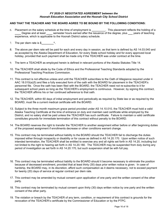#### **AND THAT THE TEACHER AND THE BOARD AGREE TO BE BOUND BY THE FOLLOWING CONDITIONS:**

- 6. Placement on the salary schedule at the time of employment is **\_\_\_\_\_\_\_\_\_**. This placement reflects the holding of a **\_\_\_\_** Degree and at least **\_\_\_\_** semester hours earned after the issuance of the degree, plus **\_\_\_** years of teaching experience, which is applicable to the Hoonah District salary schedule.
- 7. The per diem rate is \$**\_\_\_\_\_\_\_\_\*.**
- 8. The above per diem rate will be paid for each and every day in session, as that term is defined by AS 14.03.040 and as accepted by the Alaska Department of Education, for every State school holiday and for every approved local holiday, provided that such payment shall be made only if the TEACHER was under contract at the time.
- 9. The term a TEACHER as employed herein is defined in relevant portions of the Alaska Statutes Title 14.
- 10. The TEACHER shall abide by the Code of Ethics and the Professional Teaching Standards adopted by the Professional Teaching Practices Commission.
- 11. This contract is not effective unless and until the TEACHER subscribes to the Oath of Allegiance required under 4 AAC 18.010(a)(5) and files a fully executed form of the oath with the BOARD for placement in the TEACHER's personnel file. Once the oath has been filed with the BOARD, the TEACHER need not re-subscribe to it for subsequent school years so long as the TEACHER's employment is continuous. However, by signing this contract, the TEACHER affirms his or her continued adherence to that oath.
- 12. The TEACHER, within 60 days of initial employment and periodically as required by State law or as required by the BOARD, must file a current medical certificate with the BOARD.
- 13. Subject to the three month maximum grace period provided under AS 14.10.010, the TEACHER must hold a valid Alaska Teaching Certificate at the time of entrance on duty and maintain said certificate while employed by the District, and no salary shall be paid unless the TEACHER has such certificate. Failure to maintain a valid certificate constitutes grounds for immediate termination of this contract without penalty to the BOARD.
- 14. The BOARD reserves the right to transfer the TEACHER to another assignment either before or after beginning duties of the proposed assignment if enrollments decrease or other conditions warrant change.
- 15. This contract may be terminated without liability to the BOARD should the TEACHER fail to discharge the duties imposed either through incapacity or disability or for cause as defined in AS 14.20.170. Upon written notice of such intended termination, the TEACHER shall be entitled to exercise any and all rights set forth in AS 14.20, including but not limited to the right to hearing set forth in AS 14.20.180. The TEACHER may be suspended from duty during any period of investigation as set forth in AS 14.20.170, but such suspension shall be with full pay.
- 16. This contract may be terminated without liability to the BOARD should it become necessary to eliminate the position because of decreased enrollment, provided that at least thirty (30) days prior written notice is given. In case of hardship, the BOARD may, in its discretion, afford such compensation as it deems necessary, not to exceed payment for twenty (20) days of service at regular contract per diem rate.
- 17. This contract may be amended by mutual consent upon application of one party and the written consent of the other party.
- 18. This contract may be terminated by mutual consent upon thirty (30) days written notice by one party and the written consent of the other party.
- 19. The violation or breach by the TEACHER of any term, condition, or requirement of this contract is grounds for the revocation of the TEACHER's certificate by the Commissioner of Education or by the PTPC.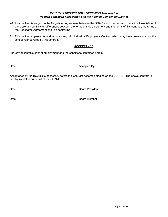- 20. This contract is subject to the Negotiated Agreement between the BOARD and the Hoonah Education Association. If there are any conflicts or differences between the terms of said agreement and the terms of this contract, the terms of the Negotiated Agreement shall be controlling.
- 21. This contract supersedes and replaces any prior individual Employee's Contract which may have been issued for the school year covered by this contract.

#### **ACCEPTANCE**

I hereby accept this offer of employment and the conditions contained herein.

 $\overline{\phantom{a}}$  , and the contribution of the contribution of  $\overline{\phantom{a}}$  , and  $\overline{\phantom{a}}$  , and  $\overline{\phantom{a}}$  , and  $\overline{\phantom{a}}$ 

 $\overline{\phantom{a}}$  , and the contribution of the contribution of  $\overline{\phantom{a}}$  , and  $\overline{\phantom{a}}$  , and  $\overline{\phantom{a}}$  , and  $\overline{\phantom{a}}$ 

Date **Date** Accepted By

Acceptance by the BOARD is necessary before this contract becomes binding on the BOARD. The above contract is hereby validated on behalf of the BOARD.

 $\overline{\phantom{a}}$  , and the contribution of the contribution of  $\overline{\phantom{a}}$  , and  $\overline{\phantom{a}}$  , and  $\overline{\phantom{a}}$  , and  $\overline{\phantom{a}}$ 

Date **Board President** 

Date **Board Member**